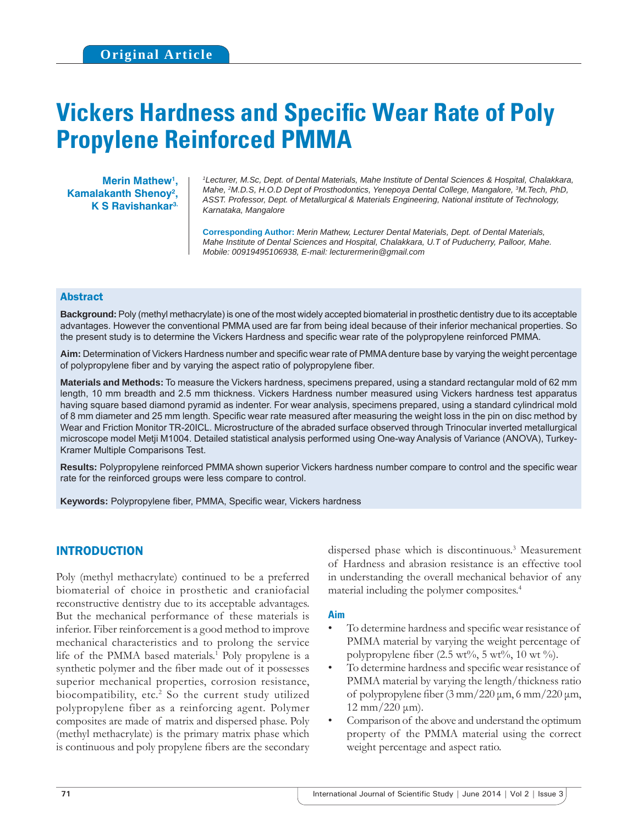# **Vickers Hardness and Specific Wear Rate of Poly Propylene Reinforced PMMA**

**Merin Mathew1 , Kamalakanth Shenoy2 , K S Ravishankar3.**

*1 Lecturer, M.Sc, Dept. of Dental Materials, Mahe Institute of Dental Sciences & Hospital, Chalakkara, Mahe, 2 M.D.S, H.O.D Dept of Prosthodontics, Yenepoya Dental College, Mangalore, 3 M.Tech, PhD, ASST. Professor, Dept. of Metallurgical & Materials Engineering, National institute of Technology, Karnataka, Mangalore*

**Corresponding Author:** *Merin Mathew, Lecturer Dental Materials, Dept. of Dental Materials, Mahe Institute of Dental Sciences and Hospital, Chalakkara, U.T of Puducherry, Palloor, Mahe. Mobile: 00919495106938, E-mail: lecturermerin@gmail.com*

# Abstract

**Background:** Poly (methyl methacrylate) is one of the most widely accepted biomaterial in prosthetic dentistry due to its acceptable advantages. However the conventional PMMA used are far from being ideal because of their inferior mechanical properties. So the present study is to determine the Vickers Hardness and specific wear rate of the polypropylene reinforced PMMA.

Aim: Determination of Vickers Hardness number and specific wear rate of PMMA denture base by varying the weight percentage of polypropylene fiber and by varying the aspect ratio of polypropylene fiber.

**Materials and Methods:** To measure the Vickers hardness, specimens prepared, using a standard rectangular mold of 62 mm length, 10 mm breadth and 2.5 mm thickness. Vickers Hardness number measured using Vickers hardness test apparatus having square based diamond pyramid as indenter. For wear analysis, specimens prepared, using a standard cylindrical mold of 8 mm diameter and 25 mm length. Specific wear rate measured after measuring the weight loss in the pin on disc method by Wear and Friction Monitor TR-20ICL. Microstructure of the abraded surface observed through Trinocular inverted metallurgical microscope model Metji M1004. Detailed statistical analysis performed using One-way Analysis of Variance (ANOVA), Turkey-Kramer Multiple Comparisons Test.

**Results:** Polypropylene reinforced PMMA shown superior Vickers hardness number compare to control and the specific wear rate for the reinforced groups were less compare to control.

Keywords: Polypropylene fiber, PMMA, Specific wear, Vickers hardness

# INTRODUCTION

Poly (methyl methacrylate) continued to be a preferred biomaterial of choice in prosthetic and craniofacial reconstructive dentistry due to its acceptable advantages. But the mechanical performance of these materials is inferior. Fiber reinforcement is a good method to improve mechanical characteristics and to prolong the service life of the PMMA based materials.<sup>1</sup> Poly propylene is a synthetic polymer and the fiber made out of it possesses superior mechanical properties, corrosion resistance, biocompatibility, etc.<sup>2</sup> So the current study utilized polypropylene fiber as a reinforcing agent. Polymer composites are made of matrix and dispersed phase. Poly (methyl methacrylate) is the primary matrix phase which is continuous and poly propylene fibers are the secondary

dispersed phase which is discontinuous.<sup>3</sup> Measurement of Hardness and abrasion resistance is an effective tool in understanding the overall mechanical behavior of any material including the polymer composites.4

## **Aim**

- To determine hardness and specific wear resistance of PMMA material by varying the weight percentage of polypropylene fiber  $(2.5 \text{ wt\%}, 5 \text{ wt\%}, 10 \text{ wt\%}).$
- To determine hardness and specific wear resistance of PMMA material by varying the length/thickness ratio of polypropylene fiber  $(3 \text{ mm}/220 \text{ }\mu\text{m}, 6 \text{ mm}/220 \text{ }\mu\text{m},$  $12$  mm/220 μm).
- Comparison of the above and understand the optimum property of the PMMA material using the correct weight percentage and aspect ratio.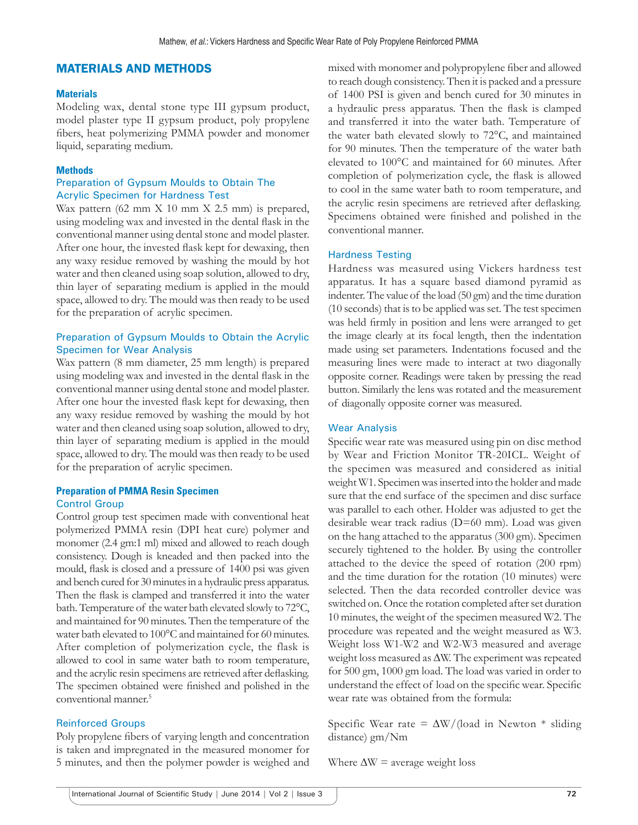# MATERIALS AND METHODS

#### **Materials**

Modeling wax, dental stone type ІІІ gypsum product, model plaster type ІІ gypsum product, poly propylene fibers, heat polymerizing PMMA powder and monomer liquid, separating medium.

## **Methods**

## Preparation of Gypsum Moulds to Obtain The Acrylic Specimen for Hardness Test

Wax pattern (62 mm X 10 mm X 2.5 mm) is prepared, using modeling wax and invested in the dental flask in the conventional manner using dental stone and model plaster. After one hour, the invested flask kept for dewaxing, then any waxy residue removed by washing the mould by hot water and then cleaned using soap solution, allowed to dry, thin layer of separating medium is applied in the mould space, allowed to dry. The mould was then ready to be used for the preparation of acrylic specimen.

# Preparation of Gypsum Moulds to Obtain the Acrylic Specimen for Wear Analysis

Wax pattern (8 mm diameter, 25 mm length) is prepared using modeling wax and invested in the dental flask in the conventional manner using dental stone and model plaster. After one hour the invested flask kept for dewaxing, then any waxy residue removed by washing the mould by hot water and then cleaned using soap solution, allowed to dry, thin layer of separating medium is applied in the mould space, allowed to dry. The mould was then ready to be used for the preparation of acrylic specimen.

#### **Preparation of PMMA Resin Specimen** Control Group

Control group test specimen made with conventional heat polymerized PMMA resin (DPI heat cure) polymer and monomer (2.4 gm:1 ml) mixed and allowed to reach dough consistency. Dough is kneaded and then packed into the mould, flask is closed and a pressure of 1400 psi was given and bench cured for 30 minutes in a hydraulic press apparatus. Then the flask is clamped and transferred it into the water bath. Temperature of the water bath elevated slowly to 72°C, and maintained for 90 minutes. Then the temperature of the water bath elevated to 100°C and maintained for 60 minutes. After completion of polymerization cycle, the flask is allowed to cool in same water bath to room temperature, and the acrylic resin specimens are retrieved after deflasking. The specimen obtained were finished and polished in the conventional manner.5

## Reinforced Groups

Poly propylene fibers of varying length and concentration is taken and impregnated in the measured monomer for 5 minutes, and then the polymer powder is weighed and mixed with monomer and polypropylene fiber and allowed to reach dough consistency. Then it is packed and a pressure of 1400 PSI is given and bench cured for 30 minutes in a hydraulic press apparatus. Then the flask is clamped and transferred it into the water bath. Temperature of the water bath elevated slowly to 72°C, and maintained for 90 minutes. Then the temperature of the water bath elevated to 100°C and maintained for 60 minutes. After completion of polymerization cycle, the flask is allowed to cool in the same water bath to room temperature, and the acrylic resin specimens are retrieved after deflasking. Specimens obtained were finished and polished in the conventional manner.

## Hardness Testing

Hardness was measured using Vickers hardness test apparatus. It has a square based diamond pyramid as indenter. The value of the load (50 gm) and the time duration (10 seconds) that is to be applied was set. The test specimen was held firmly in position and lens were arranged to get the image clearly at its focal length, then the indentation made using set parameters. Indentations focused and the measuring lines were made to interact at two diagonally opposite corner. Readings were taken by pressing the read button. Similarly the lens was rotated and the measurement of diagonally opposite corner was measured.

## Wear Analysis

Specific wear rate was measured using pin on disc method by Wear and Friction Monitor TR-20ICL. Weight of the specimen was measured and considered as initial weight W1. Specimen was inserted into the holder and made sure that the end surface of the specimen and disc surface was parallel to each other. Holder was adjusted to get the desirable wear track radius (D=60 mm). Load was given on the hang attached to the apparatus (300 gm). Specimen securely tightened to the holder. By using the controller attached to the device the speed of rotation (200 rpm) and the time duration for the rotation (10 minutes) were selected. Then the data recorded controller device was switched on. Once the rotation completed after set duration 10 minutes, the weight of the specimen measured W2. The procedure was repeated and the weight measured as W3. Weight loss W1-W2 and W2-W3 measured and average weight loss measured as ∆W. The experiment was repeated for 500 gm, 1000 gm load. The load was varied in order to understand the effect of load on the specific wear. Specific wear rate was obtained from the formula:

Specific Wear rate =  $\Delta W/$ (load in Newton \* sliding distance) gm/Nm

Where  $\Delta W =$  average weight loss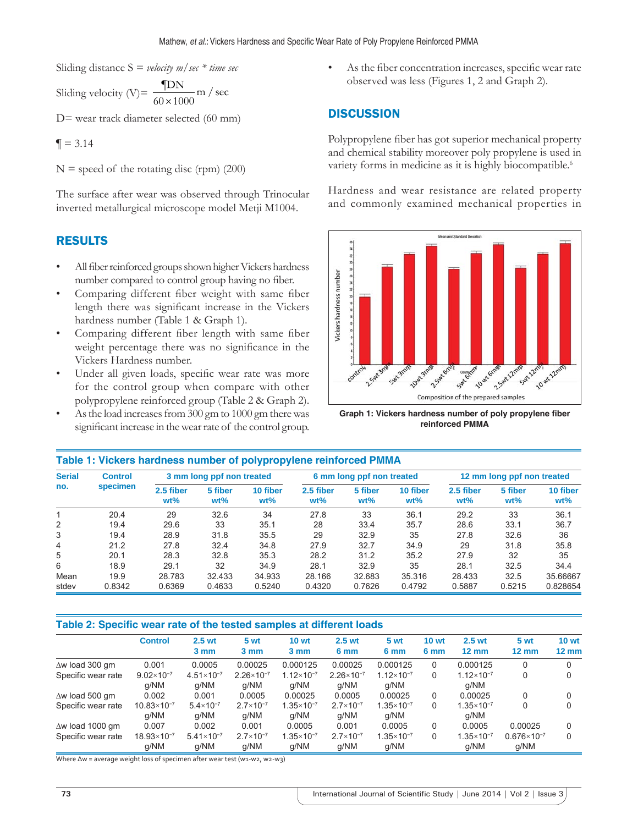Sliding distance S = *velocity m/sec \* time sec*

Sliding velocity (V)=  $\frac{\text{TDN}}{60 \times 1000}$  m / sec

D= wear track diameter selected (60 mm)

 $\P = 3.14$ 

 $N =$  speed of the rotating disc (rpm) (200)

The surface after wear was observed through Trinocular inverted metallurgical microscope model Metji M1004.

# RESULTS

- All fiber reinforced groups shown higher Vickers hardness number compared to control group having no fiber.
- Comparing different fiber weight with same fiber length there was significant increase in the Vickers hardness number (Table 1 & Graph 1).
- Comparing different fiber length with same fiber weight percentage there was no significance in the Vickers Hardness number.
- Under all given loads, specific wear rate was more for the control group when compare with other polypropylene reinforced group (Table 2 & Graph 2).
- As the load increases from 300 gm to 1000 gm there was significant increase in the wear rate of the control group.

As the fiber concentration increases, specific wear rate observed was less (Figures 1, 2 and Graph 2).

# **DISCUSSION**

Polypropylene fiber has got superior mechanical property and chemical stability moreover poly propylene is used in variety forms in medicine as it is highly biocompatible.<sup>6</sup>

Hardness and wear resistance are related property and commonly examined mechanical properties in



**Graph 1: Vickers hardness number of poly propylene fiber reinforced PMMA**

| Table 1: Vickers hardness number of polypropylene reinforced PMMA |                            |                           |                   |                    |                     |                           |                    |                            |                   |                    |  |
|-------------------------------------------------------------------|----------------------------|---------------------------|-------------------|--------------------|---------------------|---------------------------|--------------------|----------------------------|-------------------|--------------------|--|
| <b>Serial</b><br>no.                                              | <b>Control</b><br>specimen | 3 mm long ppf non treated |                   |                    |                     | 6 mm long ppf non treated |                    | 12 mm long ppf non treated |                   |                    |  |
|                                                                   |                            | 2.5 fiber<br>$wt\%$       | 5 fiber<br>$wt\%$ | 10 fiber<br>$wt\%$ | 2.5 fiber<br>$wt\%$ | 5 fiber<br>$wt\%$         | 10 fiber<br>$wt\%$ | 2.5 fiber<br>$wt\%$        | 5 fiber<br>$wt\%$ | 10 fiber<br>$wt\%$ |  |
|                                                                   | 20.4                       | 29                        | 32.6              | 34                 | 27.8                | 33                        | 36.1               | 29.2                       | 33                | 36.1               |  |
| 2                                                                 | 19.4                       | 29.6                      | 33                | 35.1               | 28                  | 33.4                      | 35.7               | 28.6                       | 33.1              | 36.7               |  |
| 3                                                                 | 19.4                       | 28.9                      | 31.8              | 35.5               | 29                  | 32.9                      | 35                 | 27.8                       | 32.6              | 36                 |  |
| 4                                                                 | 21.2                       | 27.8                      | 32.4              | 34.8               | 27.9                | 32.7                      | 34.9               | 29                         | 31.8              | 35.8               |  |
| 5                                                                 | 20.1                       | 28.3                      | 32.8              | 35.3               | 28.2                | 31.2                      | 35.2               | 27.9                       | 32                | 35                 |  |
| 6                                                                 | 18.9                       | 29.1                      | 32                | 34.9               | 28.1                | 32.9                      | 35                 | 28.1                       | 32.5              | 34.4               |  |
| Mean                                                              | 19.9                       | 28.783                    | 32.433            | 34.933             | 28.166              | 32.683                    | 35.316             | 28.433                     | 32.5              | 35.66667           |  |
| stdev                                                             | 0.8342                     | 0.6369                    | 0.4633            | 0.5240             | 0.4320              | 0.7626                    | 0.4792             | 0.5887                     | 0.5215            | 0.828654           |  |

# Table 2: Specific wear rate of the tested samples at different loads

|                         | <b>Control</b>               | 2.5 <sub>wt</sub><br>3 mm   | 5 wt<br>3 mm                  | <b>10 wt</b><br>3 mm          | 2.5 <sub>wt</sub><br>6 mm     | 5 wt<br>6 mm                  | <b>10 wt</b><br>6 mm | 2.5 <sub>wt</sub><br>$12 \text{ mm}$ | 5 wt<br>$12 \text{ mm}$      | 10 <sub>wt</sub><br>$12 \text{ mm}$ |
|-------------------------|------------------------------|-----------------------------|-------------------------------|-------------------------------|-------------------------------|-------------------------------|----------------------|--------------------------------------|------------------------------|-------------------------------------|
| $\Delta w$ load 300 qm  | 0.001                        | 0.0005                      | 0.00025                       | 0.000125                      | 0.00025                       | 0.000125                      | 0                    | 0.000125                             | 0                            |                                     |
| Specific wear rate      | $9.02\times10^{-7}$<br>a/NM  | $4.51\times10^{-7}$<br>q/NM | $2.26 \times 10^{-7}$<br>a/NM | $1.12\times10^{-7}$<br>a/NM   | $2.26 \times 10^{-7}$<br>q/NM | $1.12\times10^{-7}$<br>a/NM   | 0                    | $1.12\times10^{-7}$<br>q/NM          | 0                            |                                     |
| $\Delta w$ load 500 gm  | 0.002                        | 0.001                       | 0.0005                        | 0.00025                       | 0.0005                        | 0.00025                       | 0                    | 0.00025                              | 0                            |                                     |
| Specific wear rate      | $10.83\times10^{-7}$<br>a/NM | $5.4\times10^{-7}$<br>q/NM  | $2.7 \times 10^{-7}$<br>a/NM  | $1.35 \times 10^{-7}$<br>a/NM | $2.7 \times 10^{-7}$<br>q/NM  | $1.35 \times 10^{-7}$<br>a/NM | 0                    | $1.35 \times 10^{-7}$<br>q/NM        | 0                            |                                     |
| $\Delta w$ load 1000 gm | 0.007                        | 0.002                       | 0.001                         | 0.0005                        | 0.001                         | 0.0005                        | 0                    | 0.0005                               | 0.00025                      |                                     |
| Specific wear rate      | $18.93\times10^{-7}$<br>a/NM | $5.41\times10^{-7}$<br>a/NM | $2.7 \times 10^{-7}$<br>a/NM  | $1.35 \times 10^{-7}$<br>a/NM | $2.7\times10^{-7}$<br>a/NM    | $1.35 \times 10^{-7}$<br>a/NM | 0                    | $1.35 \times 10^{-7}$<br>a/NM        | $0.676\times10^{-7}$<br>q/NM | $\Omega$                            |

Where ∆w = average weight loss of specimen after wear test (w1-w2, w2-w3)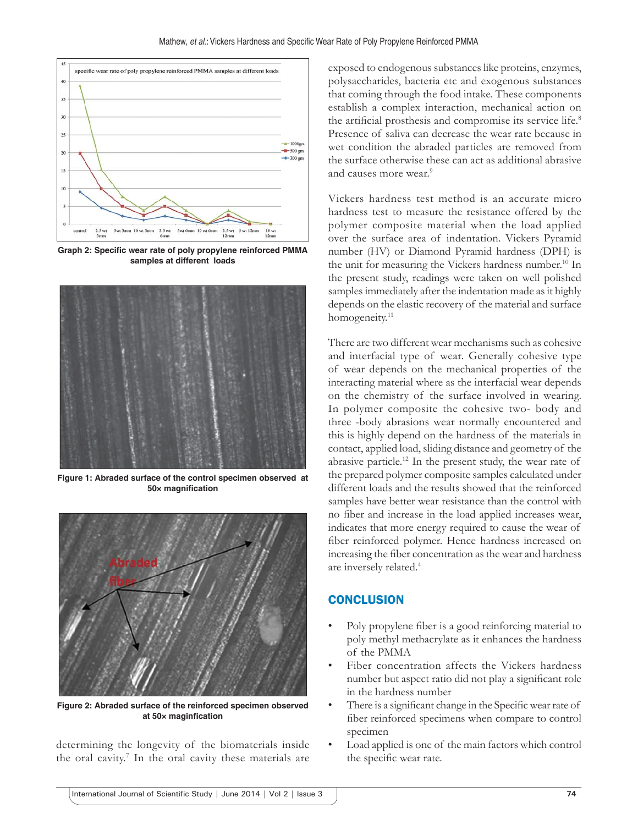

**Graph 2: Specific wear rate of poly propylene reinforced PMMA samples at different loads**



**Figure 1: Abraded surface of the control specimen observed at 50× magnifi cation**



**Figure 2: Abraded surface of the reinforced specimen observed**  at 50× maginfication

determining the longevity of the biomaterials inside the oral cavity.<sup>7</sup> In the oral cavity these materials are exposed to endogenous substances like proteins, enzymes, polysaccharides, bacteria etc and exogenous substances that coming through the food intake. These components establish a complex interaction, mechanical action on the artificial prosthesis and compromise its service life.<sup>8</sup> Presence of saliva can decrease the wear rate because in wet condition the abraded particles are removed from the surface otherwise these can act as additional abrasive and causes more wear.<sup>9</sup>

Vickers hardness test method is an accurate micro hardness test to measure the resistance offered by the polymer composite material when the load applied over the surface area of indentation. Vickers Pyramid number (HV) or Diamond Pyramid hardness (DPH) is the unit for measuring the Vickers hardness number.<sup>10</sup> In the present study, readings were taken on well polished samples immediately after the indentation made as it highly depends on the elastic recovery of the material and surface homogeneity.<sup>11</sup>

There are two different wear mechanisms such as cohesive and interfacial type of wear. Generally cohesive type of wear depends on the mechanical properties of the interacting material where as the interfacial wear depends on the chemistry of the surface involved in wearing. In polymer composite the cohesive two- body and three -body abrasions wear normally encountered and this is highly depend on the hardness of the materials in contact, applied load, sliding distance and geometry of the abrasive particle.12 In the present study, the wear rate of the prepared polymer composite samples calculated under different loads and the results showed that the reinforced samples have better wear resistance than the control with no fiber and increase in the load applied increases wear, indicates that more energy required to cause the wear of fiber reinforced polymer. Hence hardness increased on increasing the fiber concentration as the wear and hardness are inversely related.<sup>4</sup>

# **CONCLUSION**

- Poly propylene fiber is a good reinforcing material to poly methyl methacrylate as it enhances the hardness of the PMMA
- Fiber concentration affects the Vickers hardness number but aspect ratio did not play a significant role in the hardness number
- There is a significant change in the Specific wear rate of fiber reinforced specimens when compare to control specimen
- Load applied is one of the main factors which control the specific wear rate.